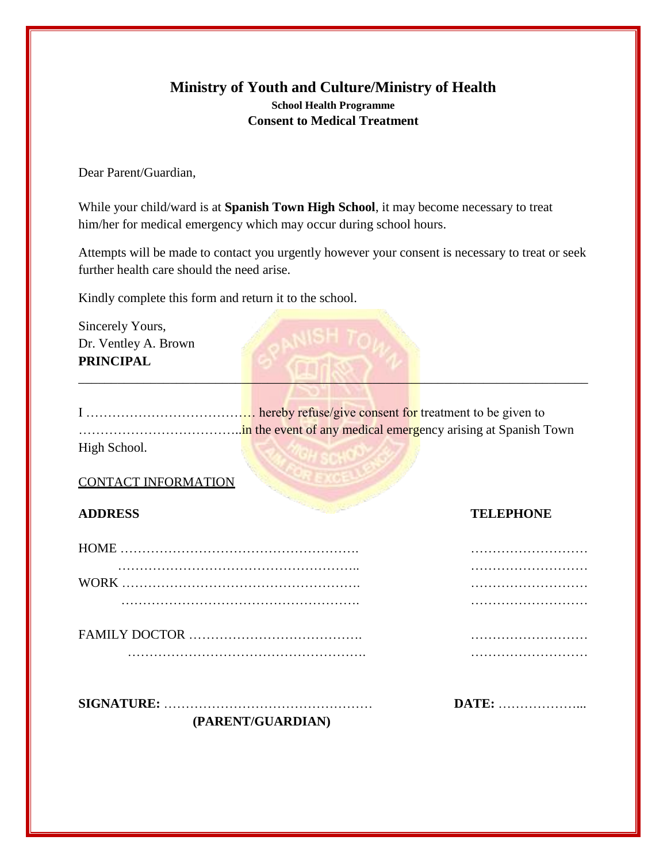# **Ministry of Youth and Culture/Ministry of Health School Health Programme Consent to Medical Treatment**

Dear Parent/Guardian,

While your child/ward is at **Spanish Town High School**, it may become necessary to treat him/her for medical emergency which may occur during school hours.

Attempts will be made to contact you urgently however your consent is necessary to treat or seek further health care should the need arise.

Kindly complete this form and return it to the school.

Sincerely Yours, Dr. Ventley A. Brown **PRINCIPAL**

| High School. |  |
|--------------|--|

 $\blacksquare$   $\blacksquare$   $\blacksquare$   $\blacksquare$   $\blacksquare$   $\blacksquare$   $\blacksquare$   $\blacksquare$   $\blacksquare$   $\blacksquare$   $\blacksquare$   $\blacksquare$   $\blacksquare$   $\blacksquare$   $\blacksquare$   $\blacksquare$   $\blacksquare$   $\blacksquare$   $\blacksquare$   $\blacksquare$   $\blacksquare$   $\blacksquare$   $\blacksquare$   $\blacksquare$   $\blacksquare$   $\blacksquare$   $\blacksquare$   $\blacksquare$   $\blacksquare$   $\blacksquare$   $\blacksquare$   $\blacks$ 

## CONTACT INFORMATION

# **ADDRESS TELEPHONE**

| <b>DATE:</b> |
|--------------|
|              |
|              |
|              |
|              |
|              |
|              |

**(PARENT/GUARDIAN)**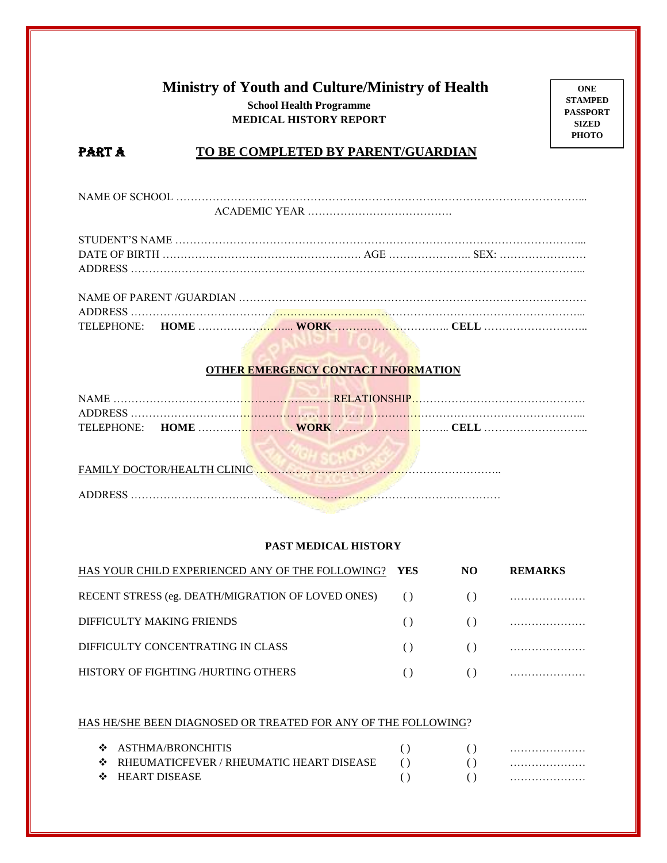# **Ministry of Youth and Culture/Ministry of Health School Health Programme MEDICAL HISTORY REPORT**

**ONE STAMPED PASSPORT SIZED PHOTO**

## PART A **TO BE COMPLETED BY PARENT/GUARDIAN**

NAME OF SCHOOL …………………………………………………………………………………………………... ACADEMIC YEAR ………………………………….

## **OTHER EMERGENCY CONTACT INFORMATION** <u> Tempo de la provincia de la provincia de la provincia de la provincia de la provincia de la provincia de la p</u>

TELEPHONE: **HOME** ……………………... **WORK** ………………………….. **CELL** ………………………..

| <b>FAMILY DOCTOR/HEALTH CLINIC</b> |  |
|------------------------------------|--|
| A DI DRESS                         |  |

## **PAST MEDICAL HISTORY**

| HAS YOUR CHILD EXPERIENCED ANY OF THE FOLLOWING?     | <b>YES</b>             | NO. | <b>REMARKS</b>                                                                                                                                                                                                                                                                                                                     |
|------------------------------------------------------|------------------------|-----|------------------------------------------------------------------------------------------------------------------------------------------------------------------------------------------------------------------------------------------------------------------------------------------------------------------------------------|
| RECENT STRESS (eg. DEATH/MIGRATION OF LOVED ONES) () |                        |     |                                                                                                                                                                                                                                                                                                                                    |
| DIFFICULTY MAKING FRIENDS                            | $\left( \quad \right)$ |     |                                                                                                                                                                                                                                                                                                                                    |
| DIFFICULTY CONCENTRATING IN CLASS                    | $\left( \quad \right)$ |     | $\overline{a}$ ( ) and $\overline{a}$ are $\overline{a}$ and $\overline{a}$ are $\overline{a}$ and $\overline{a}$ are $\overline{a}$ and $\overline{a}$ are $\overline{a}$ and $\overline{a}$ are $\overline{a}$ and $\overline{a}$ are $\overline{a}$ and $\overline{a}$ are $\overline{a}$ and $\overline{a}$ are $\overline{a}$ |
| HISTORY OF FIGHTING /HURTING OTHERS                  | $\left( \quad \right)$ |     |                                                                                                                                                                                                                                                                                                                                    |

#### HAS HE/SHE BEEN DIAGNOSED OR TREATED FOR ANY OF THE FOLLOWING?

| ASTHMA/BRONCHITIS                          |  |  |
|--------------------------------------------|--|--|
| ❖ RHEUMATICFEVER / RHEUMATIC HEART DISEASE |  |  |
| $\div$ HEART DISEASE                       |  |  |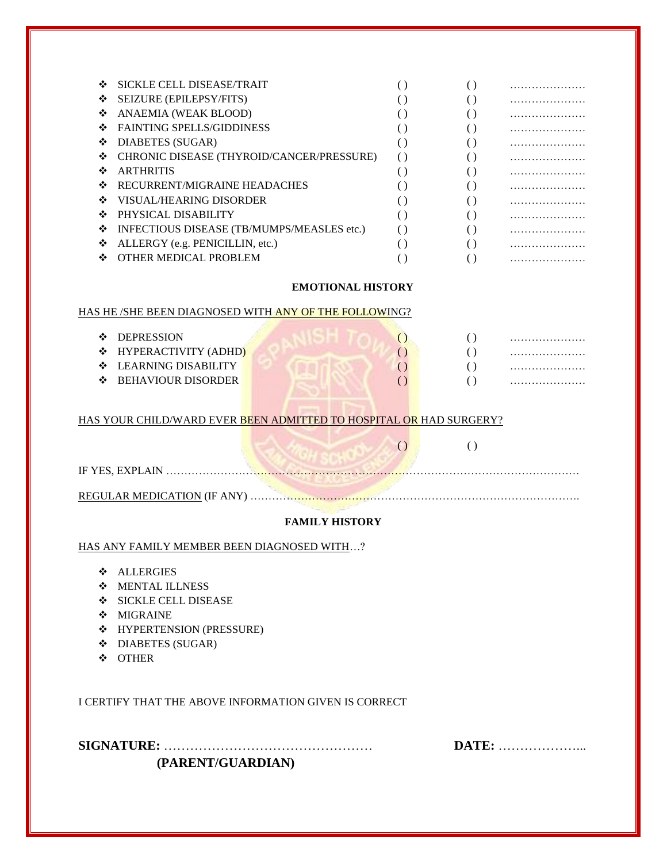| ❖  | SICKLE CELL DISEASE/TRAIT                  |  |   |
|----|--------------------------------------------|--|---|
| ❖  | SEIZURE (EPILEPSY/FITS)                    |  | . |
| ❖  | ANAEMIA (WEAK BLOOD)                       |  | . |
| ❖  | <b>FAINTING SPELLS/GIDDINESS</b>           |  |   |
| ❖  | DIABETES (SUGAR)                           |  | . |
| ❖  | CHRONIC DISEASE (THYROID/CANCER/PRESSURE)  |  | . |
| ❖  | <b>ARTHRITIS</b>                           |  | . |
| ❖  | RECURRENT/MIGRAINE HEADACHES               |  |   |
| ❖  | VISUAL/HEARING DISORDER                    |  |   |
| ∙÷ | PHYSICAL DISABILITY                        |  |   |
| ❖  | INFECTIOUS DISEASE (TB/MUMPS/MEASLES etc.) |  |   |
| ❖  | ALLERGY (e.g. PENICILLIN, etc.)            |  |   |
| ∙÷ | OTHER MEDICAL PROBLEM                      |  |   |
|    |                                            |  |   |

## **EMOTIONAL HISTORY**

 $( )$ 

## HAS HE /SHE BEEN DIAGNOSED WITH ANY OF THE FOLLOWING?

| <b>DEPRESSION</b>          |  |  |
|----------------------------|--|--|
| ❖ HYPERACTIVITY (ADHD)     |  |  |
| $\div$ LEARNING DISABILITY |  |  |
| ❖ BEHAVIOUR DISORDER       |  |  |
|                            |  |  |

### HAS YOUR CHILD/WARD EVER BEEN ADMITTED TO HOSPITAL OR HAD SURGERY?

| IF YES, EXPLAIN                    |  |
|------------------------------------|--|
| <b>REGULAR MEDICATION (IF ANY)</b> |  |

#### **FAMILY HISTORY**

HAS ANY FAMILY MEMBER BEEN DIAGNOSED WITH…?

- **ALLERGIES**
- MENTAL ILLNESS
- SICKLE CELL DISEASE
- ❖ MIGRAINE
- ◆ HYPERTENSION (PRESSURE)
- $\div$  DIABETES (SUGAR)
- OTHER

I CERTIFY THAT THE ABOVE INFORMATION GIVEN IS CORRECT

**SIGNATURE:** ………………………………………… **DATE:** ………………... **(PARENT/GUARDIAN)**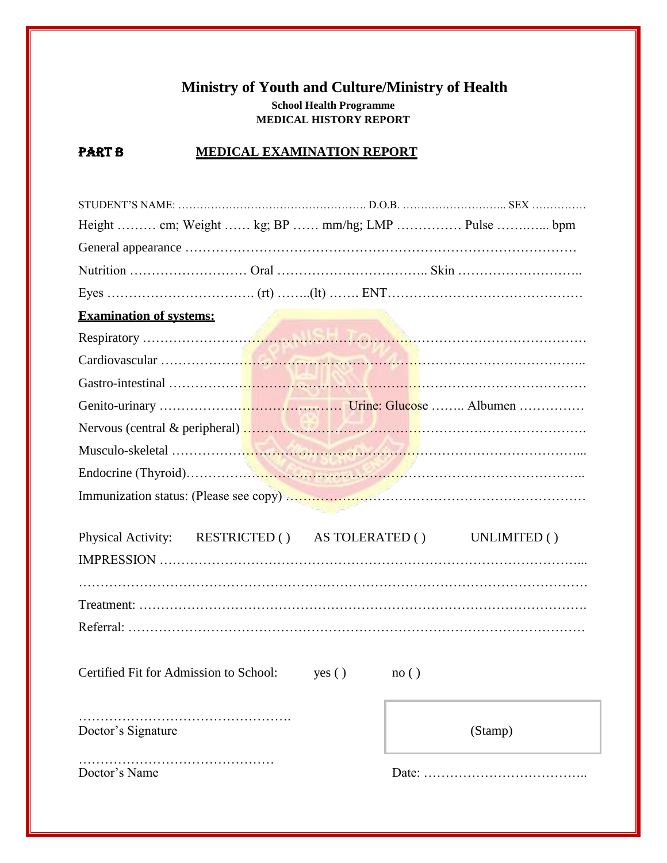# **Ministry of Youth and Culture/Ministry of Health School Health Programme MEDICAL HISTORY REPORT**

# **PART B MEDICAL EXAMINATION REPORT**

| Height  cm; Weight  kg; BP  mm/hg; LMP  Pulse  bpm            |                 |
|---------------------------------------------------------------|-----------------|
|                                                               |                 |
|                                                               |                 |
|                                                               |                 |
| <b>Examination of systems:</b>                                |                 |
|                                                               |                 |
|                                                               |                 |
|                                                               |                 |
|                                                               |                 |
|                                                               |                 |
|                                                               |                 |
|                                                               |                 |
|                                                               |                 |
|                                                               |                 |
| Physical Activity: RESTRICTED () AS TOLERATED () UNLIMITED () |                 |
|                                                               |                 |
|                                                               |                 |
|                                                               |                 |
|                                                               |                 |
|                                                               |                 |
| Certified Fit for Admission to School:<br>yes()               | $\text{no}$ ( ) |
|                                                               |                 |
| Doctor's Signature                                            |                 |
|                                                               |                 |
|                                                               | (Stamp)         |
| Doctor's Name                                                 | Date:           |